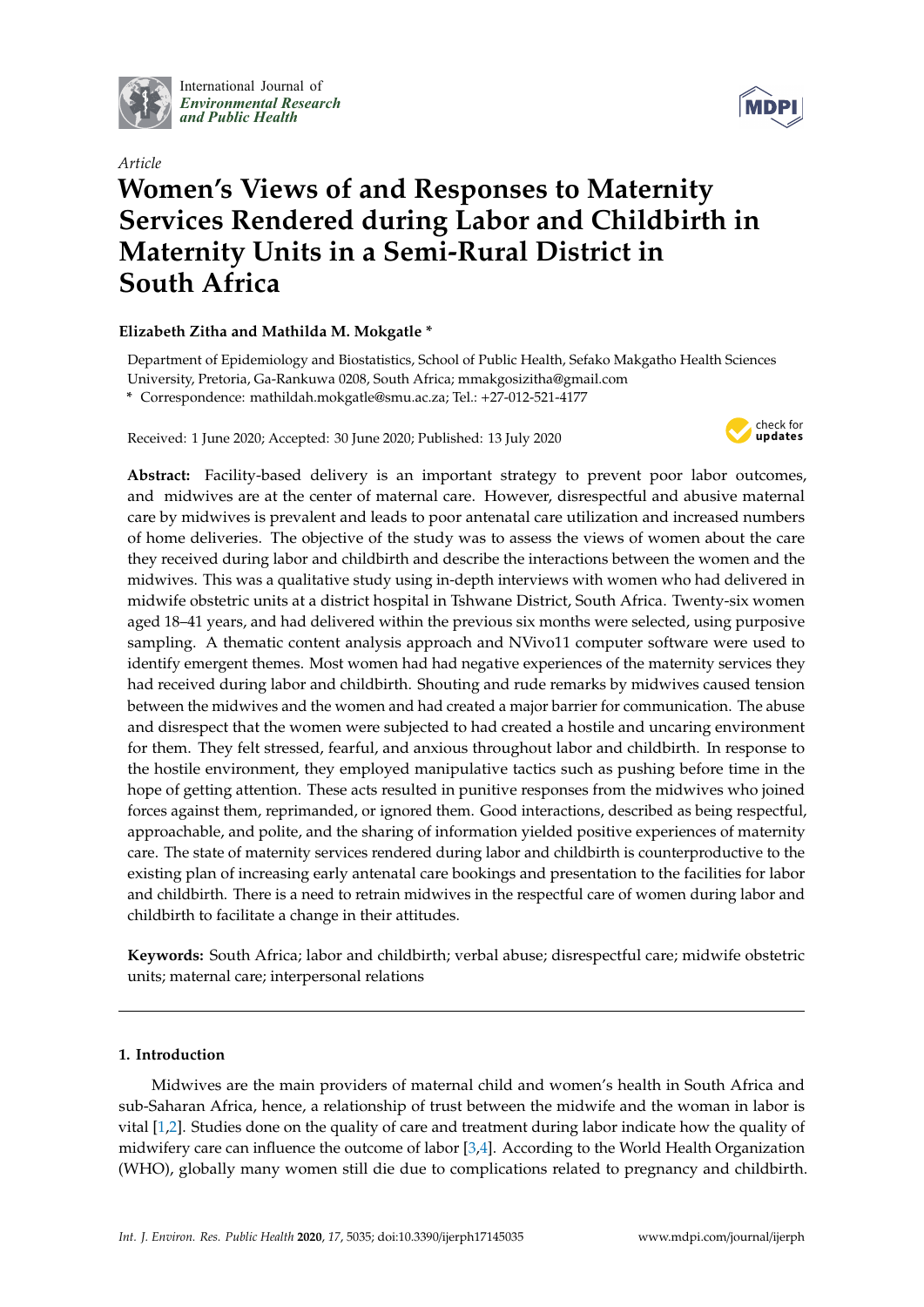

International Journal of *[Environmental Research](http://www.mdpi.com/journal/ijerph) and Public Health*



# *Article* **Women's Views of and Responses to Maternity Services Rendered during Labor and Childbirth in Maternity Units in a Semi-Rural District in South Africa**

## **Elizabeth Zitha and Mathilda M. Mokgatle \***

Department of Epidemiology and Biostatistics, School of Public Health, Sefako Makgatho Health Sciences University, Pretoria, Ga-Rankuwa 0208, South Africa; mmakgosizitha@gmail.com **\*** Correspondence: mathildah.mokgatle@smu.ac.za; Tel.: +27-012-521-4177

Received: 1 June 2020; Accepted: 30 June 2020; Published: 13 July 2020



**Abstract:** Facility-based delivery is an important strategy to prevent poor labor outcomes, and midwives are at the center of maternal care. However, disrespectful and abusive maternal care by midwives is prevalent and leads to poor antenatal care utilization and increased numbers of home deliveries. The objective of the study was to assess the views of women about the care they received during labor and childbirth and describe the interactions between the women and the midwives. This was a qualitative study using in-depth interviews with women who had delivered in midwife obstetric units at a district hospital in Tshwane District, South Africa. Twenty-six women aged 18–41 years, and had delivered within the previous six months were selected, using purposive sampling. A thematic content analysis approach and NVivo11 computer software were used to identify emergent themes. Most women had had negative experiences of the maternity services they had received during labor and childbirth. Shouting and rude remarks by midwives caused tension between the midwives and the women and had created a major barrier for communication. The abuse and disrespect that the women were subjected to had created a hostile and uncaring environment for them. They felt stressed, fearful, and anxious throughout labor and childbirth. In response to the hostile environment, they employed manipulative tactics such as pushing before time in the hope of getting attention. These acts resulted in punitive responses from the midwives who joined forces against them, reprimanded, or ignored them. Good interactions, described as being respectful, approachable, and polite, and the sharing of information yielded positive experiences of maternity care. The state of maternity services rendered during labor and childbirth is counterproductive to the existing plan of increasing early antenatal care bookings and presentation to the facilities for labor and childbirth. There is a need to retrain midwives in the respectful care of women during labor and childbirth to facilitate a change in their attitudes.

**Keywords:** South Africa; labor and childbirth; verbal abuse; disrespectful care; midwife obstetric units; maternal care; interpersonal relations

## **1. Introduction**

Midwives are the main providers of maternal child and women's health in South Africa and sub-Saharan Africa, hence, a relationship of trust between the midwife and the woman in labor is vital [\[1,](#page-10-0)[2\]](#page-10-1). Studies done on the quality of care and treatment during labor indicate how the quality of midwifery care can influence the outcome of labor  $[3,4]$  $[3,4]$ . According to the World Health Organization (WHO), globally many women still die due to complications related to pregnancy and childbirth.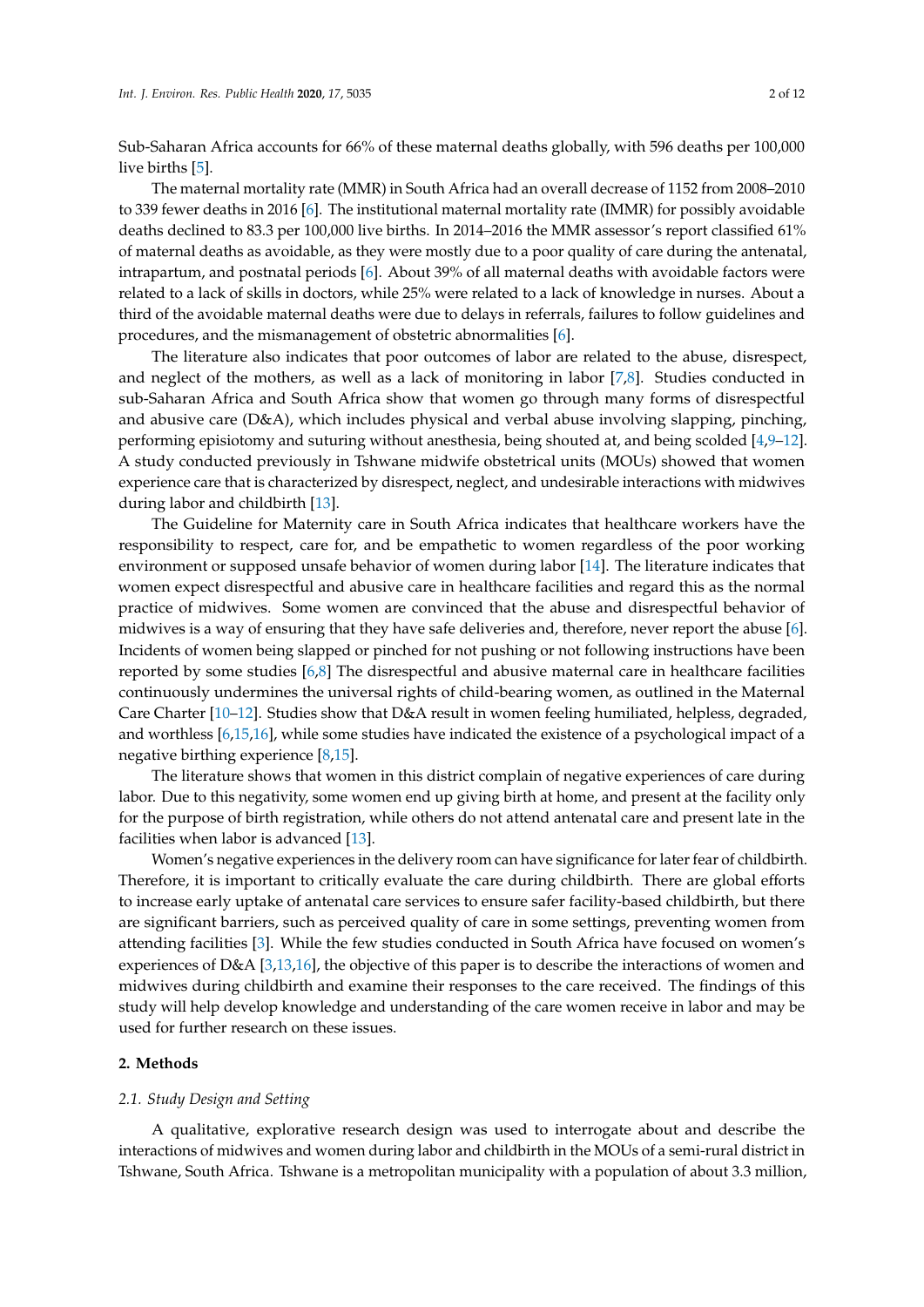Sub-Saharan Africa accounts for 66% of these maternal deaths globally, with 596 deaths per 100,000 live births [\[5\]](#page-10-4).

The maternal mortality rate (MMR) in South Africa had an overall decrease of 1152 from 2008–2010 to 339 fewer deaths in 2016 [\[6\]](#page-10-5). The institutional maternal mortality rate (IMMR) for possibly avoidable deaths declined to 83.3 per 100,000 live births. In 2014–2016 the MMR assessor's report classified 61% of maternal deaths as avoidable, as they were mostly due to a poor quality of care during the antenatal, intrapartum, and postnatal periods [\[6\]](#page-10-5). About 39% of all maternal deaths with avoidable factors were related to a lack of skills in doctors, while 25% were related to a lack of knowledge in nurses. About a third of the avoidable maternal deaths were due to delays in referrals, failures to follow guidelines and procedures, and the mismanagement of obstetric abnormalities [\[6\]](#page-10-5).

The literature also indicates that poor outcomes of labor are related to the abuse, disrespect, and neglect of the mothers, as well as a lack of monitoring in labor [\[7,](#page-10-6)[8\]](#page-10-7). Studies conducted in sub-Saharan Africa and South Africa show that women go through many forms of disrespectful and abusive care (D&A), which includes physical and verbal abuse involving slapping, pinching, performing episiotomy and suturing without anesthesia, being shouted at, and being scolded [\[4](#page-10-3)[,9–](#page-10-8)[12\]](#page-10-9). A study conducted previously in Tshwane midwife obstetrical units (MOUs) showed that women experience care that is characterized by disrespect, neglect, and undesirable interactions with midwives during labor and childbirth [\[13\]](#page-10-10).

The Guideline for Maternity care in South Africa indicates that healthcare workers have the responsibility to respect, care for, and be empathetic to women regardless of the poor working environment or supposed unsafe behavior of women during labor [\[14\]](#page-10-11). The literature indicates that women expect disrespectful and abusive care in healthcare facilities and regard this as the normal practice of midwives. Some women are convinced that the abuse and disrespectful behavior of midwives is a way of ensuring that they have safe deliveries and, therefore, never report the abuse [\[6\]](#page-10-5). Incidents of women being slapped or pinched for not pushing or not following instructions have been reported by some studies [\[6](#page-10-5)[,8\]](#page-10-7) The disrespectful and abusive maternal care in healthcare facilities continuously undermines the universal rights of child-bearing women, as outlined in the Maternal Care Charter [\[10](#page-10-12)[–12\]](#page-10-9). Studies show that D&A result in women feeling humiliated, helpless, degraded, and worthless [\[6,](#page-10-5)[15,](#page-10-13)[16\]](#page-10-14), while some studies have indicated the existence of a psychological impact of a negative birthing experience [\[8](#page-10-7)[,15\]](#page-10-13).

The literature shows that women in this district complain of negative experiences of care during labor. Due to this negativity, some women end up giving birth at home, and present at the facility only for the purpose of birth registration, while others do not attend antenatal care and present late in the facilities when labor is advanced [\[13\]](#page-10-10).

Women's negative experiences in the delivery room can have significance for later fear of childbirth. Therefore, it is important to critically evaluate the care during childbirth. There are global efforts to increase early uptake of antenatal care services to ensure safer facility-based childbirth, but there are significant barriers, such as perceived quality of care in some settings, preventing women from attending facilities [\[3\]](#page-10-2). While the few studies conducted in South Africa have focused on women's experiences of D&A [\[3,](#page-10-2)[13,](#page-10-10)[16\]](#page-10-14), the objective of this paper is to describe the interactions of women and midwives during childbirth and examine their responses to the care received. The findings of this study will help develop knowledge and understanding of the care women receive in labor and may be used for further research on these issues.

## **2. Methods**

#### *2.1. Study Design and Setting*

A qualitative, explorative research design was used to interrogate about and describe the interactions of midwives and women during labor and childbirth in the MOUs of a semi-rural district in Tshwane, South Africa. Tshwane is a metropolitan municipality with a population of about 3.3 million,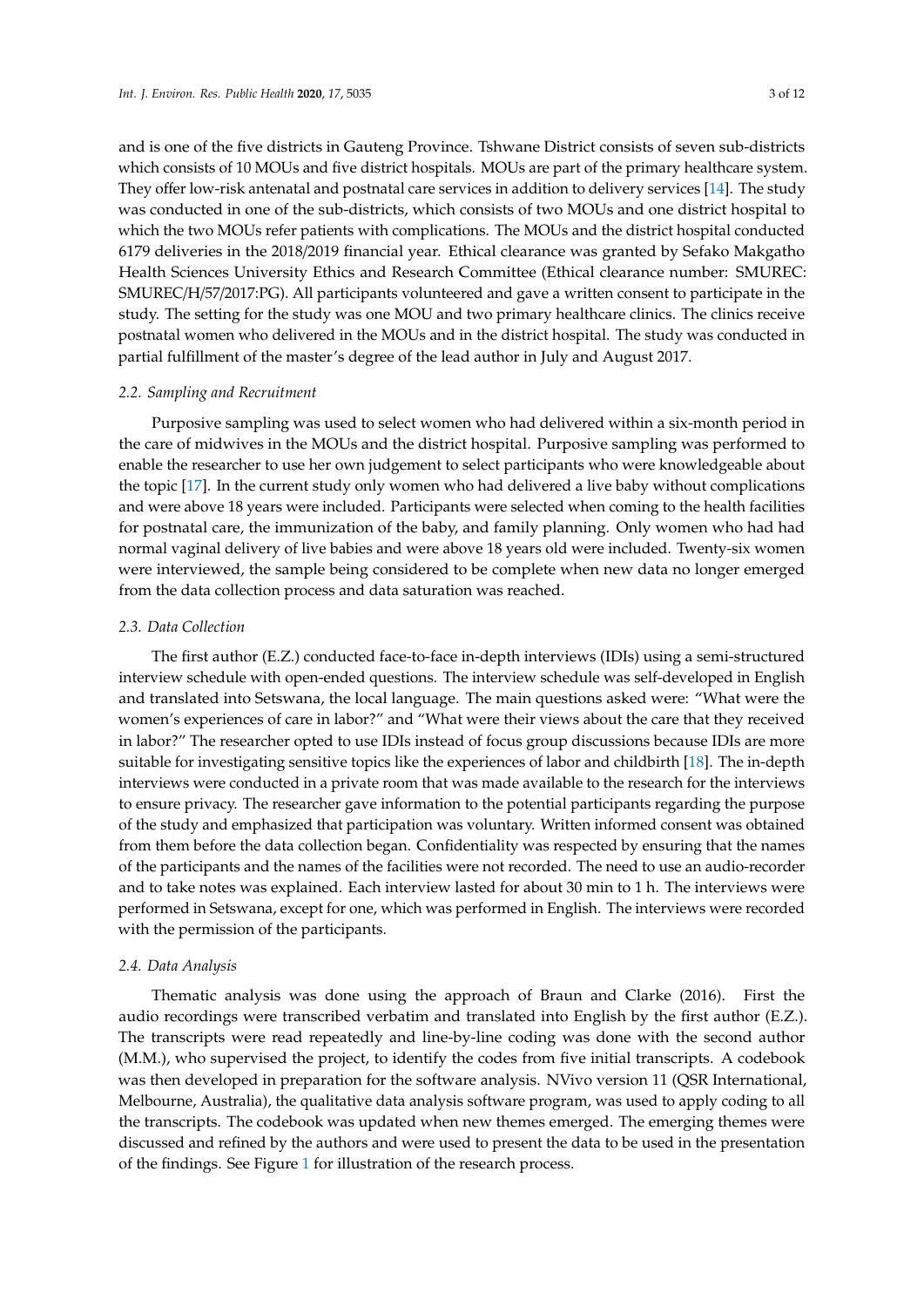and is one of the five districts in Gauteng Province. Tshwane District consists of seven sub-districts which consists of 10 MOUs and five district hospitals. MOUs are part of the primary healthcare system. They offer low-risk antenatal and postnatal care services in addition to delivery services [\[14\]](#page-10-11). The study was conducted in one of the sub-districts, which consists of two MOUs and one district hospital to which the two MOUs refer patients with complications. The MOUs and the district hospital conducted 6179 deliveries in the 2018/2019 financial year. Ethical clearance was granted by Sefako Makgatho Health Sciences University Ethics and Research Committee (Ethical clearance number: SMUREC: SMUREC/H/57/2017:PG). All participants volunteered and gave a written consent to participate in the study. The setting for the study was one MOU and two primary healthcare clinics. The clinics receive postnatal women who delivered in the MOUs and in the district hospital. The study was conducted in partial fulfillment of the master's degree of the lead author in July and August 2017.

#### *2.2. Sampling and Recruitment*

Purposive sampling was used to select women who had delivered within a six-month period in the care of midwives in the MOUs and the district hospital. Purposive sampling was performed to enable the researcher to use her own judgement to select participants who were knowledgeable about the topic [\[17\]](#page-10-15). In the current study only women who had delivered a live baby without complications and were above 18 years were included. Participants were selected when coming to the health facilities for postnatal care, the immunization of the baby, and family planning. Only women who had had normal vaginal delivery of live babies and were above 18 years old were included. Twenty-six women were interviewed, the sample being considered to be complete when new data no longer emerged from the data collection process and data saturation was reached.

#### *2.3. Data Collection*

The first author (E.Z.) conducted face-to-face in-depth interviews (IDIs) using a semi-structured interview schedule with open-ended questions. The interview schedule was self-developed in English and translated into Setswana, the local language. The main questions asked were: "What were the women's experiences of care in labor?" and "What were their views about the care that they received in labor?" The researcher opted to use IDIs instead of focus group discussions because IDIs are more suitable for investigating sensitive topics like the experiences of labor and childbirth [\[18\]](#page-10-16). The in-depth interviews were conducted in a private room that was made available to the research for the interviews to ensure privacy. The researcher gave information to the potential participants regarding the purpose of the study and emphasized that participation was voluntary. Written informed consent was obtained from them before the data collection began. Confidentiality was respected by ensuring that the names of the participants and the names of the facilities were not recorded. The need to use an audio-recorder and to take notes was explained. Each interview lasted for about 30 min to 1 h. The interviews were performed in Setswana, except for one, which was performed in English. The interviews were recorded with the permission of the participants.

#### *2.4. Data Analysis*

Thematic analysis was done using the approach of Braun and Clarke (2016). First the audio recordings were transcribed verbatim and translated into English by the first author (E.Z.). The transcripts were read repeatedly and line-by-line coding was done with the second author (M.M.), who supervised the project, to identify the codes from five initial transcripts. A codebook was then developed in preparation for the software analysis. NVivo version 11 (QSR International, Melbourne, Australia), the qualitative data analysis software program, was used to apply coding to all the transcripts. The codebook was updated when new themes emerged. The emerging themes were discussed and refined by the authors and were used to present the data to be used in the presentation of the findings. See Figure [1](#page-3-0) for illustration of the research process.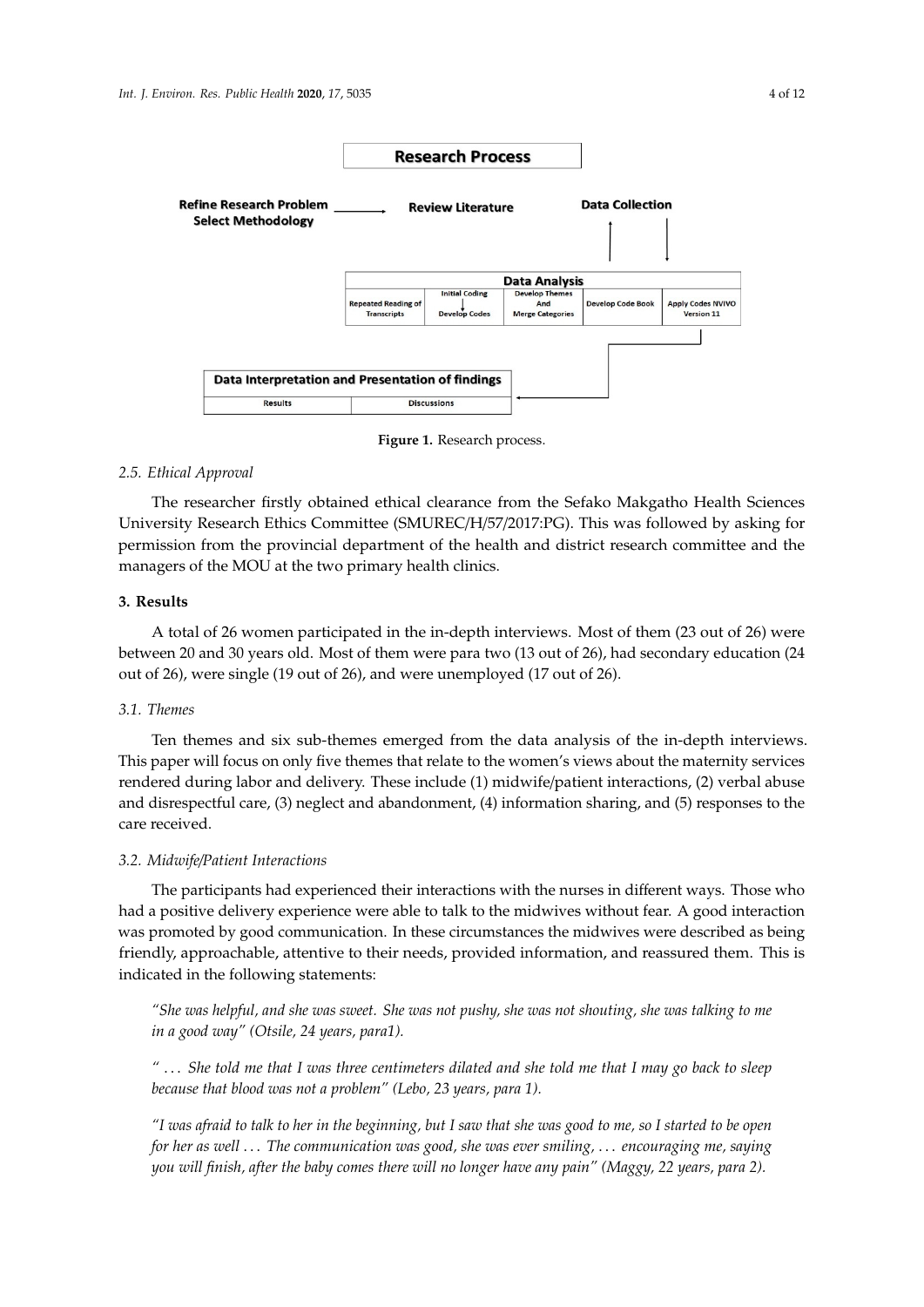<span id="page-3-0"></span>

**Figure 1.** Research process. **Figure 1.** Research process.

#### *2.5. Ethical Approval*

*2.5. Ethical Approval*  The researcher firstly obtained ethical clearance from the Sefako Makgatho Health Sciences University Research Ethics Committee (SMUREC/H/57/2017:PG). This was followed by asking for permission from the provincial department of the health and district research committee and the managers of the MOU at the two primary health clinics.

## **3. Results**

A total of 26 women participated in the in-depth interviews. Most of them (23 out of 26) were between 20 and 30 years old. Most of them were para two (13 out of 26), had secondary education (24 out of 26), were single (19 out of 26), and were unemployed (17 out of 26).

#### out of 26), were single (19 out of 26), and were unemployed (17 out of 26). *3.1. Themes*

Ten themes and six sub-themes emerged from the data analysis of the in-depth interviews. This paper will focus on only five themes that relate to the women's views about the maternity services rendered during labor and delivery. These include (1) midwife/patient interactions, (2) verbal abuse and disrespectful care, (3) neglect and abandonment, (4) information sharing, and (5) responses to the care, received.  $\alpha$ care received.

## the care received. *3.2. Midwife*/*Patient Interactions*

*3.2. Midwife/Patient Interactions*  The participants had experienced their interactions with the nurses in different ways. Those who had a positive delivery experience were able to talk to the midwives without fear. A good interaction was promoted by good communication. In these circumstances the midwives were described as being<br>was promoted by good communication. In these circumstances the midwives were described as being friendly, approachable, attentive to their needs, provided information, and reassured them. This is indicated in the following statements:

"She was helpful, and she was sweet. She was not pushy, she was not shouting, she was talking to me *"She was helpful, and she was sweet. She was not pushy, she was not shouting, she was talking to in a good way" (Otsile, 24 years, para1).*

*me in a good way" (Otsile, 24 years, para1). "… She told me that I was three centimeters dilated and she told me that I may go back to sleep "* . . . *She told me that I was three centimeters dilated and she told me that I may go back to sleep because that blood was not a problem" (Lebo, 23 years, para 1). because that blood was not a problem" (Lebo, 23 years, para 1).*

*"I was afraid to talk to her in the beginning, but I saw that she was good to me, so I started to be open for her as well* ... The communication was good, she was ever smiling, ... encouraging me, saying *you will finish, after the baby comes there will no longer have any pain" (Maggy, 22 years, para 2).*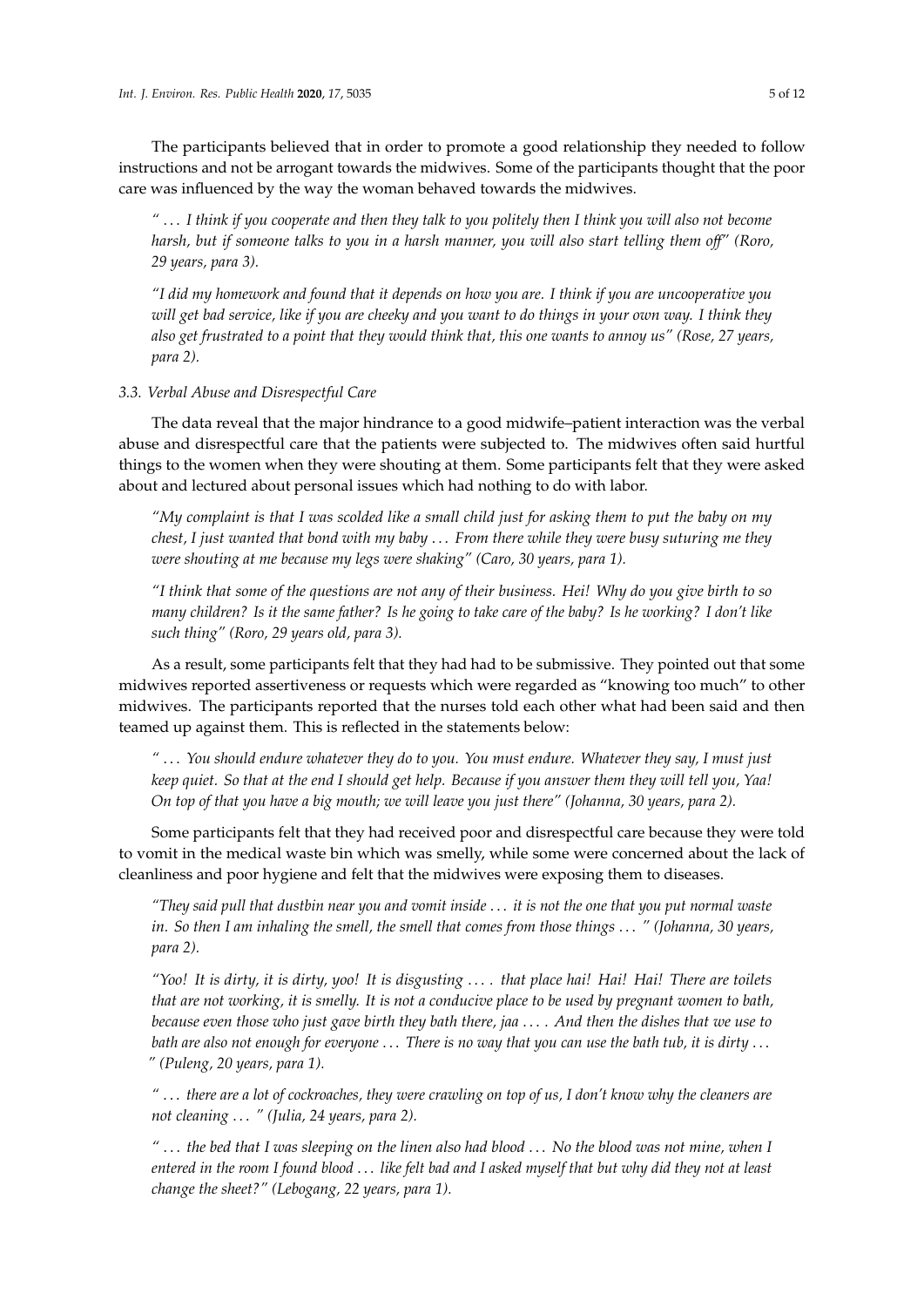The participants believed that in order to promote a good relationship they needed to follow instructions and not be arrogant towards the midwives. Some of the participants thought that the poor care was influenced by the way the woman behaved towards the midwives.

*"* . . . *I think if you cooperate and then they talk to you politely then I think you will also not become harsh, but if someone talks to you in a harsh manner, you will also start telling them o*ff*" (Roro, 29 years, para 3).*

*"I did my homework and found that it depends on how you are. I think if you are uncooperative you will get bad service, like if you are cheeky and you want to do things in your own way. I think they also get frustrated to a point that they would think that, this one wants to annoy us" (Rose, 27 years, para 2).*

*3.3. Verbal Abuse and Disrespectful Care*

The data reveal that the major hindrance to a good midwife–patient interaction was the verbal abuse and disrespectful care that the patients were subjected to. The midwives often said hurtful things to the women when they were shouting at them. Some participants felt that they were asked about and lectured about personal issues which had nothing to do with labor.

*"My complaint is that I was scolded like a small child just for asking them to put the baby on my chest, I just wanted that bond with my baby* . . . *From there while they were busy suturing me they were shouting at me because my legs were shaking" (Caro, 30 years, para 1).*

*"I think that some of the questions are not any of their business. Hei! Why do you give birth to so many children? Is it the same father? Is he going to take care of the baby? Is he working? I don't like such thing" (Roro, 29 years old, para 3).*

As a result, some participants felt that they had had to be submissive. They pointed out that some midwives reported assertiveness or requests which were regarded as "knowing too much" to other midwives. The participants reported that the nurses told each other what had been said and then teamed up against them. This is reflected in the statements below:

*"* . . . *You should endure whatever they do to you. You must endure. Whatever they say, I must just keep quiet. So that at the end I should get help. Because if you answer them they will tell you, Yaa! On top of that you have a big mouth; we will leave you just there" (Johanna, 30 years, para 2).*

Some participants felt that they had received poor and disrespectful care because they were told to vomit in the medical waste bin which was smelly, while some were concerned about the lack of cleanliness and poor hygiene and felt that the midwives were exposing them to diseases.

*"They said pull that dustbin near you and vomit inside* . . . *it is not the one that you put normal waste in. So then I am inhaling the smell, the smell that comes from those things* . . . *" (Johanna, 30 years, para 2).*

*"Yoo! It is dirty, it is dirty, yoo! It is disgusting* . . . *. that place hai! Hai! Hai! There are toilets that are not working, it is smelly. It is not a conducive place to be used by pregnant women to bath, because even those who just gave birth they bath there, jaa* . . . *. And then the dishes that we use to bath are also not enough for everyone* . . . *There is no way that you can use the bath tub, it is dirty* . . . *" (Puleng, 20 years, para 1).*

*"* . . . *there are a lot of cockroaches, they were crawling on top of us, I don't know why the cleaners are not cleaning* . . . *" (Julia, 24 years, para 2).*

*"* . . . *the bed that I was sleeping on the linen also had blood* . . . *No the blood was not mine, when I entered in the room I found blood* . . . *like felt bad and I asked myself that but why did they not at least change the sheet?" (Lebogang, 22 years, para 1).*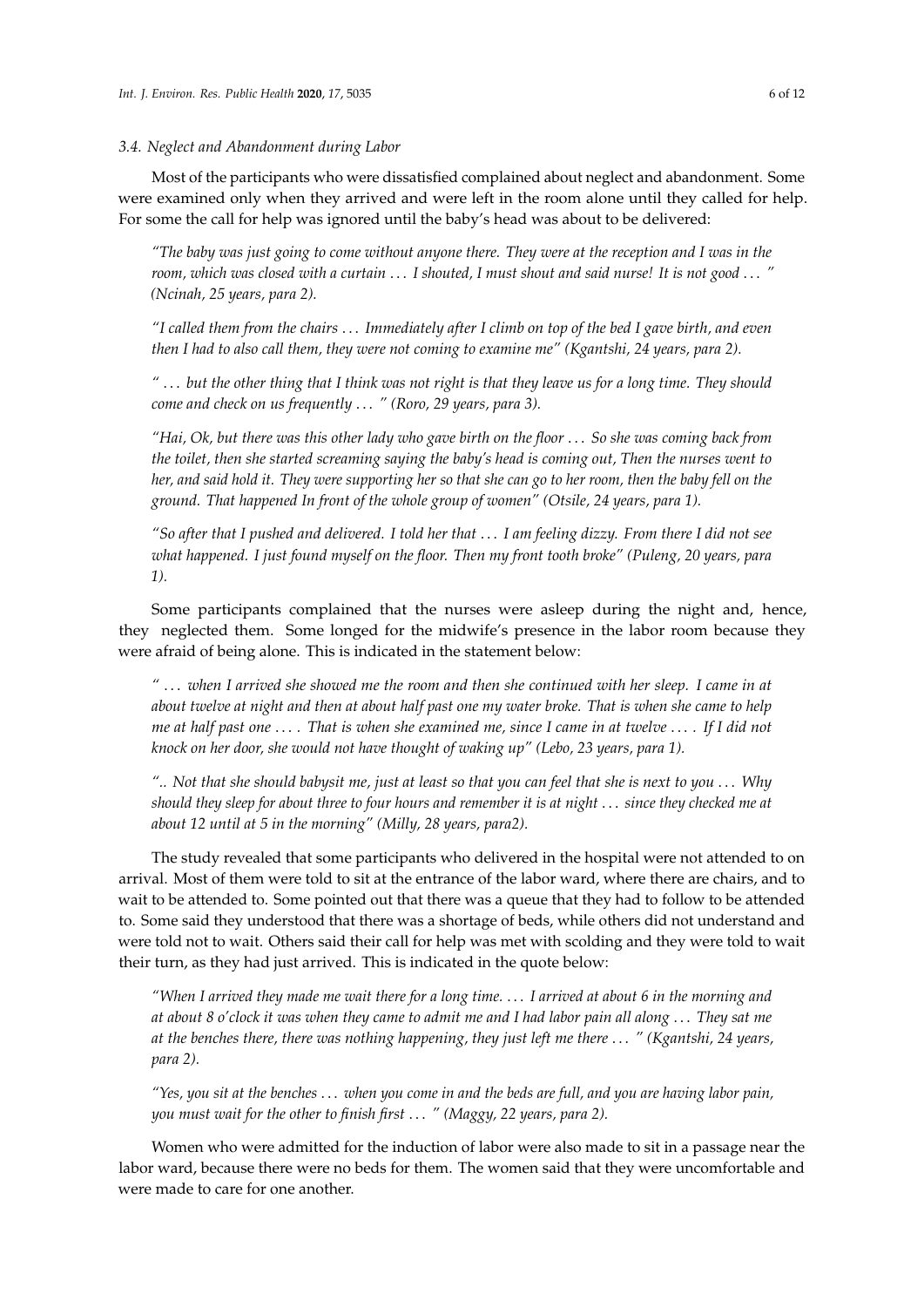#### *3.4. Neglect and Abandonment during Labor*

Most of the participants who were dissatisfied complained about neglect and abandonment. Some were examined only when they arrived and were left in the room alone until they called for help. For some the call for help was ignored until the baby's head was about to be delivered:

*"The baby was just going to come without anyone there. They were at the reception and I was in the room, which was closed with a curtain* . . . *I shouted, I must shout and said nurse! It is not good* . . . *" (Ncinah, 25 years, para 2).*

*"I called them from the chairs* . . . *Immediately after I climb on top of the bed I gave birth, and even then I had to also call them, they were not coming to examine me" (Kgantshi, 24 years, para 2).*

*"* . . . *but the other thing that I think was not right is that they leave us for a long time. They should come and check on us frequently* . . . *" (Roro, 29 years, para 3).*

*"Hai, Ok, but there was this other lady who gave birth on the floor* . . . *So she was coming back from the toilet, then she started screaming saying the baby's head is coming out, Then the nurses went to her, and said hold it. They were supporting her so that she can go to her room, then the baby fell on the ground. That happened In front of the whole group of women" (Otsile, 24 years, para 1).*

*"So after that I pushed and delivered. I told her that* . . . *I am feeling dizzy. From there I did not see what happened. I just found myself on the floor. Then my front tooth broke" (Puleng, 20 years, para 1).*

Some participants complained that the nurses were asleep during the night and, hence, they neglected them. Some longed for the midwife's presence in the labor room because they were afraid of being alone. This is indicated in the statement below:

*"* . . . *when I arrived she showed me the room and then she continued with her sleep. I came in at about twelve at night and then at about half past one my water broke. That is when she came to help me at half past one* . . . *. That is when she examined me, since I came in at twelve* . . . *. If I did not knock on her door, she would not have thought of waking up" (Lebo, 23 years, para 1).*

*".. Not that she should babysit me, just at least so that you can feel that she is next to you* . . . *Why should they sleep for about three to four hours and remember it is at night* . . . *since they checked me at about 12 until at 5 in the morning" (Milly, 28 years, para2).*

The study revealed that some participants who delivered in the hospital were not attended to on arrival. Most of them were told to sit at the entrance of the labor ward, where there are chairs, and to wait to be attended to. Some pointed out that there was a queue that they had to follow to be attended to. Some said they understood that there was a shortage of beds, while others did not understand and were told not to wait. Others said their call for help was met with scolding and they were told to wait their turn, as they had just arrived. This is indicated in the quote below:

*"When I arrived they made me wait there for a long time.* . . . *I arrived at about 6 in the morning and at about 8 o'clock it was when they came to admit me and I had labor pain all along* . . . *They sat me at the benches there, there was nothing happening, they just left me there* . . . *" (Kgantshi, 24 years, para 2).*

*"Yes, you sit at the benches* . . . *when you come in and the beds are full, and you are having labor pain, you must wait for the other to finish first* . . . *" (Maggy, 22 years, para 2).*

Women who were admitted for the induction of labor were also made to sit in a passage near the labor ward, because there were no beds for them. The women said that they were uncomfortable and were made to care for one another.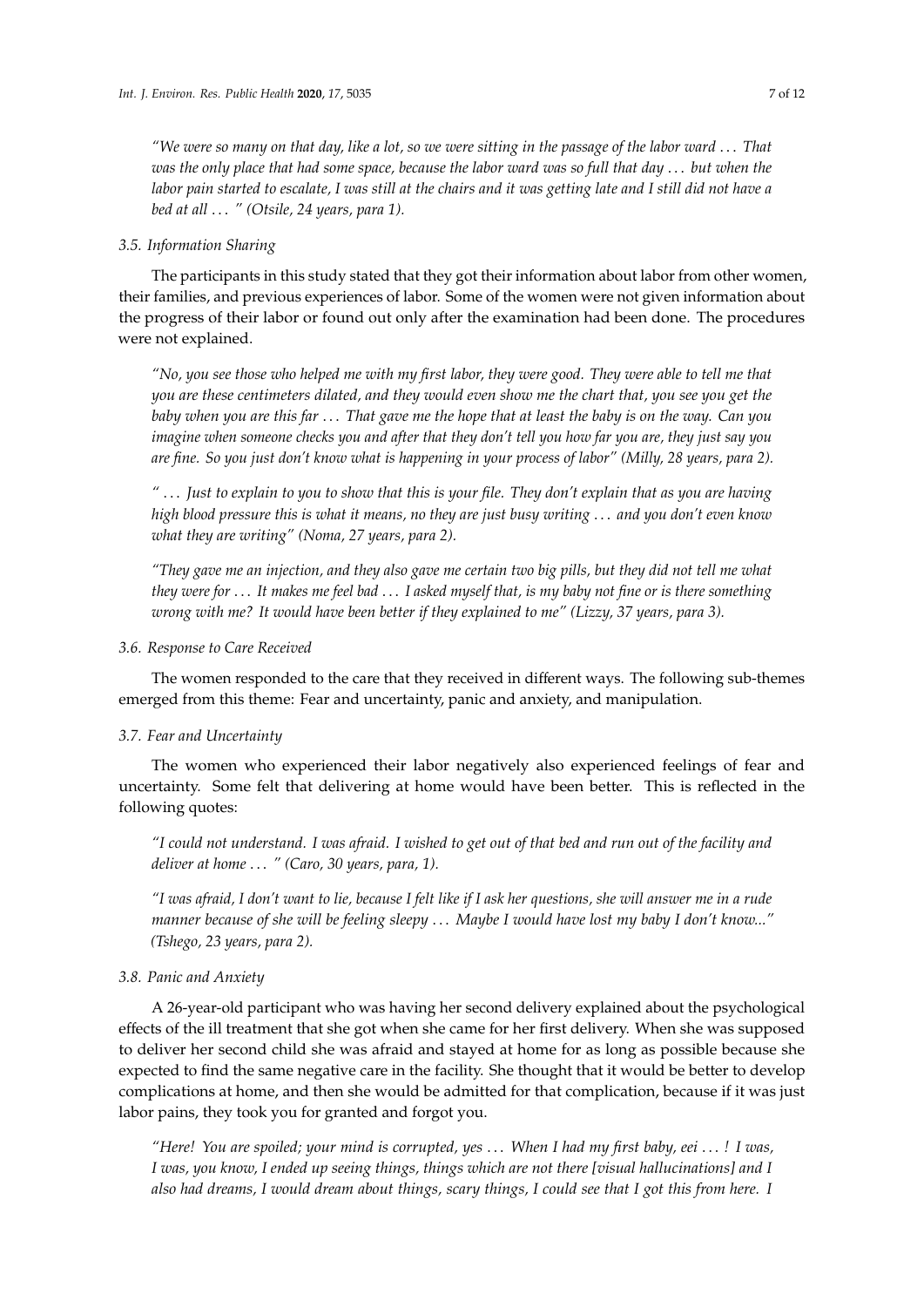*"We were so many on that day, like a lot, so we were sitting in the passage of the labor ward* . . . *That was the only place that had some space, because the labor ward was so full that day* . . . *but when the labor pain started to escalate, I was still at the chairs and it was getting late and I still did not have a bed at all* . . . *" (Otsile, 24 years, para 1).*

#### *3.5. Information Sharing*

The participants in this study stated that they got their information about labor from other women, their families, and previous experiences of labor. Some of the women were not given information about the progress of their labor or found out only after the examination had been done. The procedures were not explained.

*"No, you see those who helped me with my first labor, they were good. They were able to tell me that you are these centimeters dilated, and they would even show me the chart that, you see you get the baby when you are this far* . . . *That gave me the hope that at least the baby is on the way. Can you imagine when someone checks you and after that they don't tell you how far you are, they just say you are fine. So you just don't know what is happening in your process of labor" (Milly, 28 years, para 2).*

*"* . . . *Just to explain to you to show that this is your file. They don't explain that as you are having high blood pressure this is what it means, no they are just busy writing* . . . *and you don't even know what they are writing" (Noma, 27 years, para 2).*

*"They gave me an injection, and they also gave me certain two big pills, but they did not tell me what they were for* . . . *It makes me feel bad* . . . *I asked myself that, is my baby not fine or is there something wrong with me? It would have been better if they explained to me" (Lizzy, 37 years, para 3).*

#### *3.6. Response to Care Received*

The women responded to the care that they received in different ways. The following sub-themes emerged from this theme: Fear and uncertainty, panic and anxiety, and manipulation.

#### *3.7. Fear and Uncertainty*

The women who experienced their labor negatively also experienced feelings of fear and uncertainty. Some felt that delivering at home would have been better. This is reflected in the following quotes:

*"I could not understand. I was afraid. I wished to get out of that bed and run out of the facility and deliver at home* . . . *" (Caro, 30 years, para, 1).*

*"I was afraid, I don't want to lie, because I felt like if I ask her questions, she will answer me in a rude manner because of she will be feeling sleepy* . . . *Maybe I would have lost my baby I don't know..." (Tshego, 23 years, para 2).*

## *3.8. Panic and Anxiety*

A 26-year-old participant who was having her second delivery explained about the psychological effects of the ill treatment that she got when she came for her first delivery. When she was supposed to deliver her second child she was afraid and stayed at home for as long as possible because she expected to find the same negative care in the facility. She thought that it would be better to develop complications at home, and then she would be admitted for that complication, because if it was just labor pains, they took you for granted and forgot you.

*"Here! You are spoiled; your mind is corrupted, yes* . . . *When I had my first baby, eei* . . . *! I was, I was, you know, I ended up seeing things, things which are not there [visual hallucinations] and I also had dreams, I would dream about things, scary things, I could see that I got this from here. I*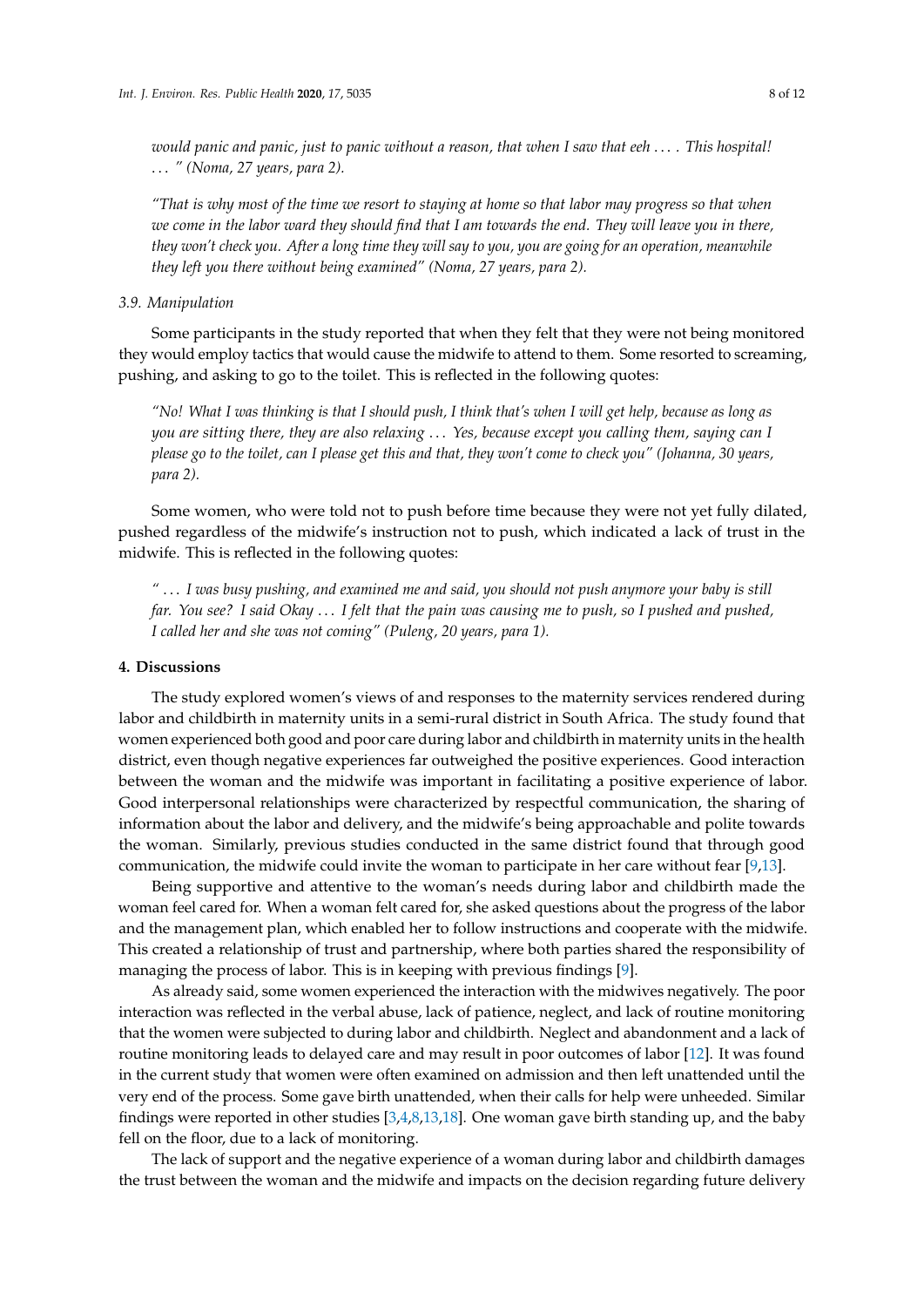*would panic and panic, just to panic without a reason, that when I saw that eeh* . . . *. This hospital!* . . . *" (Noma, 27 years, para 2).*

*"That is why most of the time we resort to staying at home so that labor may progress so that when we come in the labor ward they should find that I am towards the end. They will leave you in there, they won't check you. After a long time they will say to you, you are going for an operation, meanwhile they left you there without being examined" (Noma, 27 years, para 2).*

#### *3.9. Manipulation*

Some participants in the study reported that when they felt that they were not being monitored they would employ tactics that would cause the midwife to attend to them. Some resorted to screaming, pushing, and asking to go to the toilet. This is reflected in the following quotes:

*"No! What I was thinking is that I should push, I think that's when I will get help, because as long as you are sitting there, they are also relaxing* . . . *Yes, because except you calling them, saying can I please go to the toilet, can I please get this and that, they won't come to check you" (Johanna, 30 years, para 2).*

Some women, who were told not to push before time because they were not yet fully dilated, pushed regardless of the midwife's instruction not to push, which indicated a lack of trust in the midwife. This is reflected in the following quotes:

*"* . . . *I was busy pushing, and examined me and said, you should not push anymore your baby is still far. You see? I said Okay* . . . *I felt that the pain was causing me to push, so I pushed and pushed, I called her and she was not coming" (Puleng, 20 years, para 1).*

#### **4. Discussions**

The study explored women's views of and responses to the maternity services rendered during labor and childbirth in maternity units in a semi-rural district in South Africa. The study found that women experienced both good and poor care during labor and childbirth in maternity units in the health district, even though negative experiences far outweighed the positive experiences. Good interaction between the woman and the midwife was important in facilitating a positive experience of labor. Good interpersonal relationships were characterized by respectful communication, the sharing of information about the labor and delivery, and the midwife's being approachable and polite towards the woman. Similarly, previous studies conducted in the same district found that through good communication, the midwife could invite the woman to participate in her care without fear [\[9](#page-10-8)[,13\]](#page-10-10).

Being supportive and attentive to the woman's needs during labor and childbirth made the woman feel cared for. When a woman felt cared for, she asked questions about the progress of the labor and the management plan, which enabled her to follow instructions and cooperate with the midwife. This created a relationship of trust and partnership, where both parties shared the responsibility of managing the process of labor. This is in keeping with previous findings [\[9\]](#page-10-8).

As already said, some women experienced the interaction with the midwives negatively. The poor interaction was reflected in the verbal abuse, lack of patience, neglect, and lack of routine monitoring that the women were subjected to during labor and childbirth. Neglect and abandonment and a lack of routine monitoring leads to delayed care and may result in poor outcomes of labor [\[12\]](#page-10-9). It was found in the current study that women were often examined on admission and then left unattended until the very end of the process. Some gave birth unattended, when their calls for help were unheeded. Similar findings were reported in other studies [\[3,](#page-10-2)[4](#page-10-3)[,8](#page-10-7)[,13,](#page-10-10)[18\]](#page-10-16). One woman gave birth standing up, and the baby fell on the floor, due to a lack of monitoring.

The lack of support and the negative experience of a woman during labor and childbirth damages the trust between the woman and the midwife and impacts on the decision regarding future delivery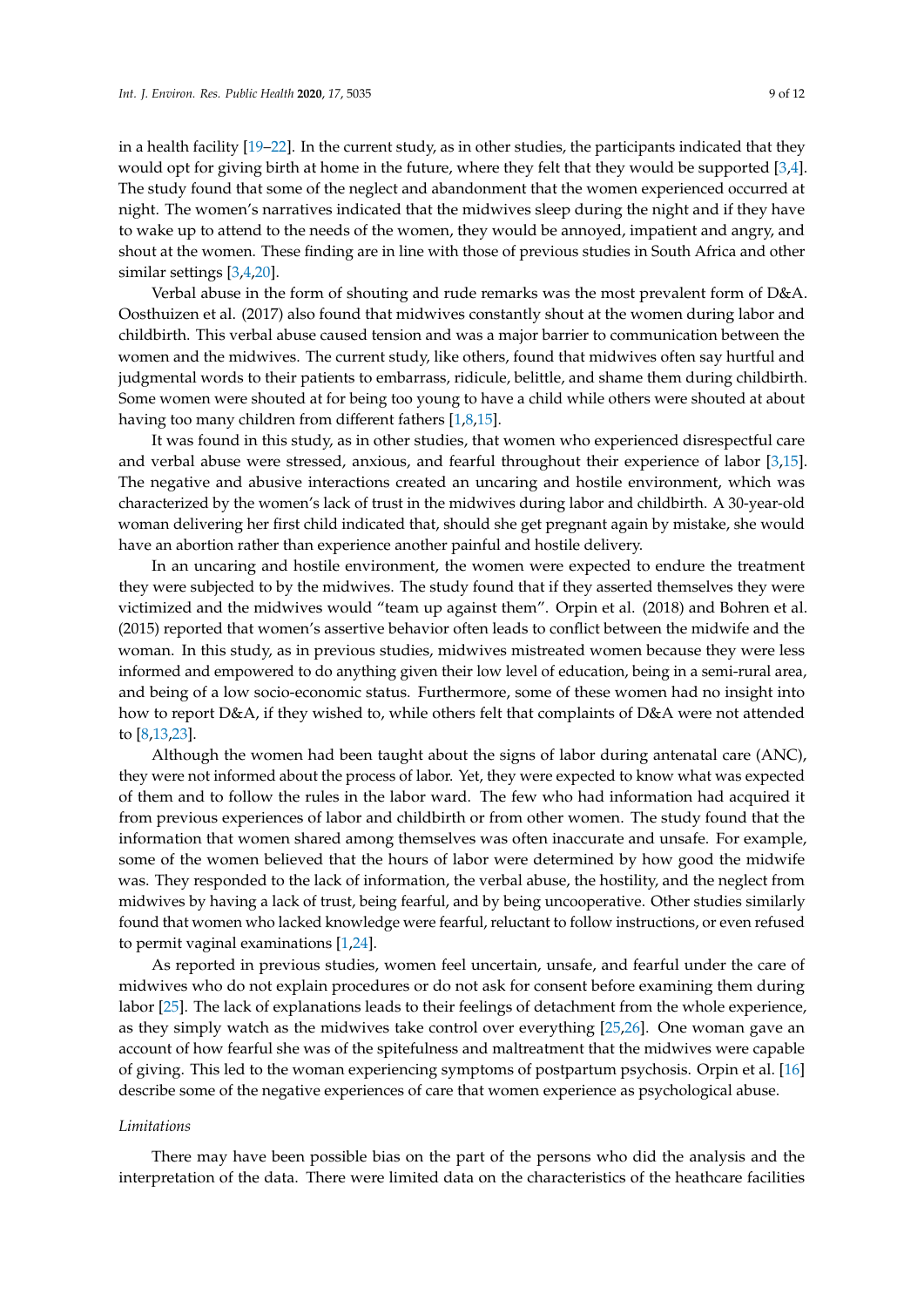in a health facility [\[19–](#page-10-17)[22\]](#page-11-0). In the current study, as in other studies, the participants indicated that they would opt for giving birth at home in the future, where they felt that they would be supported [\[3,](#page-10-2)[4\]](#page-10-3). The study found that some of the neglect and abandonment that the women experienced occurred at night. The women's narratives indicated that the midwives sleep during the night and if they have to wake up to attend to the needs of the women, they would be annoyed, impatient and angry, and shout at the women. These finding are in line with those of previous studies in South Africa and other similar settings [\[3](#page-10-2)[,4](#page-10-3)[,20\]](#page-10-18).

Verbal abuse in the form of shouting and rude remarks was the most prevalent form of D&A. Oosthuizen et al. (2017) also found that midwives constantly shout at the women during labor and childbirth. This verbal abuse caused tension and was a major barrier to communication between the women and the midwives. The current study, like others, found that midwives often say hurtful and judgmental words to their patients to embarrass, ridicule, belittle, and shame them during childbirth. Some women were shouted at for being too young to have a child while others were shouted at about having too many children from different fathers [\[1,](#page-10-0)[8,](#page-10-7)[15\]](#page-10-13).

It was found in this study, as in other studies, that women who experienced disrespectful care and verbal abuse were stressed, anxious, and fearful throughout their experience of labor [\[3,](#page-10-2)[15\]](#page-10-13). The negative and abusive interactions created an uncaring and hostile environment, which was characterized by the women's lack of trust in the midwives during labor and childbirth. A 30-year-old woman delivering her first child indicated that, should she get pregnant again by mistake, she would have an abortion rather than experience another painful and hostile delivery.

In an uncaring and hostile environment, the women were expected to endure the treatment they were subjected to by the midwives. The study found that if they asserted themselves they were victimized and the midwives would "team up against them". Orpin et al. (2018) and Bohren et al. (2015) reported that women's assertive behavior often leads to conflict between the midwife and the woman. In this study, as in previous studies, midwives mistreated women because they were less informed and empowered to do anything given their low level of education, being in a semi-rural area, and being of a low socio-economic status. Furthermore, some of these women had no insight into how to report D&A, if they wished to, while others felt that complaints of D&A were not attended to [\[8,](#page-10-7)[13](#page-10-10)[,23\]](#page-11-1).

Although the women had been taught about the signs of labor during antenatal care (ANC), they were not informed about the process of labor. Yet, they were expected to know what was expected of them and to follow the rules in the labor ward. The few who had information had acquired it from previous experiences of labor and childbirth or from other women. The study found that the information that women shared among themselves was often inaccurate and unsafe. For example, some of the women believed that the hours of labor were determined by how good the midwife was. They responded to the lack of information, the verbal abuse, the hostility, and the neglect from midwives by having a lack of trust, being fearful, and by being uncooperative. Other studies similarly found that women who lacked knowledge were fearful, reluctant to follow instructions, or even refused to permit vaginal examinations [\[1](#page-10-0)[,24\]](#page-11-2).

As reported in previous studies, women feel uncertain, unsafe, and fearful under the care of midwives who do not explain procedures or do not ask for consent before examining them during labor [\[25\]](#page-11-3). The lack of explanations leads to their feelings of detachment from the whole experience, as they simply watch as the midwives take control over everything [\[25,](#page-11-3)[26\]](#page-11-4). One woman gave an account of how fearful she was of the spitefulness and maltreatment that the midwives were capable of giving. This led to the woman experiencing symptoms of postpartum psychosis. Orpin et al. [\[16\]](#page-10-14) describe some of the negative experiences of care that women experience as psychological abuse.

#### *Limitations*

There may have been possible bias on the part of the persons who did the analysis and the interpretation of the data. There were limited data on the characteristics of the heathcare facilities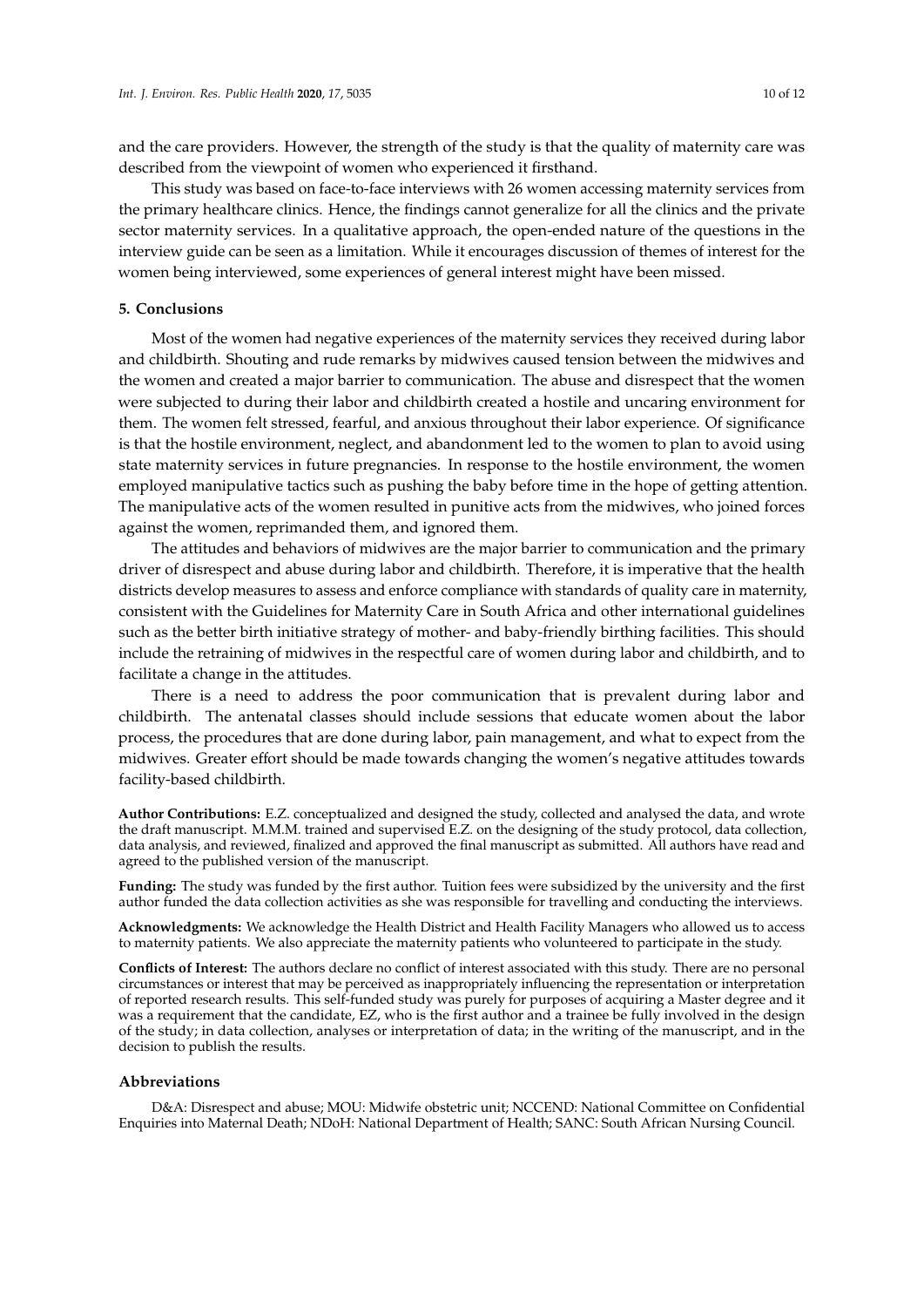and the care providers. However, the strength of the study is that the quality of maternity care was described from the viewpoint of women who experienced it firsthand.

This study was based on face-to-face interviews with 26 women accessing maternity services from the primary healthcare clinics. Hence, the findings cannot generalize for all the clinics and the private sector maternity services. In a qualitative approach, the open-ended nature of the questions in the interview guide can be seen as a limitation. While it encourages discussion of themes of interest for the women being interviewed, some experiences of general interest might have been missed.

#### **5. Conclusions**

Most of the women had negative experiences of the maternity services they received during labor and childbirth. Shouting and rude remarks by midwives caused tension between the midwives and the women and created a major barrier to communication. The abuse and disrespect that the women were subjected to during their labor and childbirth created a hostile and uncaring environment for them. The women felt stressed, fearful, and anxious throughout their labor experience. Of significance is that the hostile environment, neglect, and abandonment led to the women to plan to avoid using state maternity services in future pregnancies. In response to the hostile environment, the women employed manipulative tactics such as pushing the baby before time in the hope of getting attention. The manipulative acts of the women resulted in punitive acts from the midwives, who joined forces against the women, reprimanded them, and ignored them.

The attitudes and behaviors of midwives are the major barrier to communication and the primary driver of disrespect and abuse during labor and childbirth. Therefore, it is imperative that the health districts develop measures to assess and enforce compliance with standards of quality care in maternity, consistent with the Guidelines for Maternity Care in South Africa and other international guidelines such as the better birth initiative strategy of mother- and baby-friendly birthing facilities. This should include the retraining of midwives in the respectful care of women during labor and childbirth, and to facilitate a change in the attitudes.

There is a need to address the poor communication that is prevalent during labor and childbirth. The antenatal classes should include sessions that educate women about the labor process, the procedures that are done during labor, pain management, and what to expect from the midwives. Greater effort should be made towards changing the women's negative attitudes towards facility-based childbirth.

**Author Contributions:** E.Z. conceptualized and designed the study, collected and analysed the data, and wrote the draft manuscript. M.M.M. trained and supervised E.Z. on the designing of the study protocol, data collection, data analysis, and reviewed, finalized and approved the final manuscript as submitted. All authors have read and agreed to the published version of the manuscript.

**Funding:** The study was funded by the first author. Tuition fees were subsidized by the university and the first author funded the data collection activities as she was responsible for travelling and conducting the interviews.

**Acknowledgments:** We acknowledge the Health District and Health Facility Managers who allowed us to access to maternity patients. We also appreciate the maternity patients who volunteered to participate in the study.

**Conflicts of Interest:** The authors declare no conflict of interest associated with this study. There are no personal circumstances or interest that may be perceived as inappropriately influencing the representation or interpretation of reported research results. This self-funded study was purely for purposes of acquiring a Master degree and it was a requirement that the candidate, EZ, who is the first author and a trainee be fully involved in the design of the study; in data collection, analyses or interpretation of data; in the writing of the manuscript, and in the decision to publish the results.

#### **Abbreviations**

D&A: Disrespect and abuse; MOU: Midwife obstetric unit; NCCEND: National Committee on Confidential Enquiries into Maternal Death; NDoH: National Department of Health; SANC: South African Nursing Council.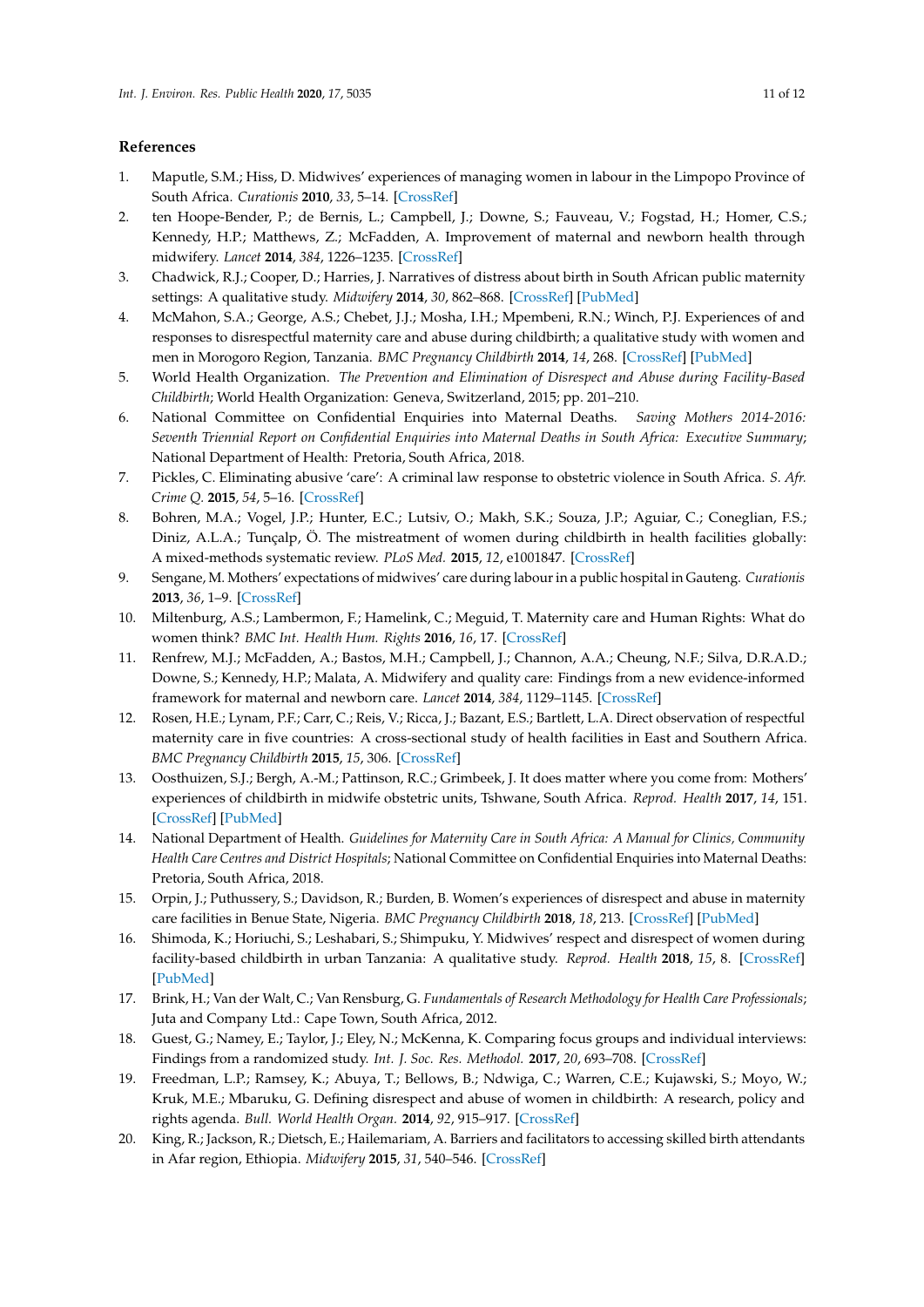## **References**

- <span id="page-10-0"></span>1. Maputle, S.M.; Hiss, D. Midwives' experiences of managing women in labour in the Limpopo Province of South Africa. *Curationis* **2010**, *33*, 5–14. [\[CrossRef\]](http://dx.doi.org/10.4102/curationis.v33i3.2)
- <span id="page-10-1"></span>2. ten Hoope-Bender, P.; de Bernis, L.; Campbell, J.; Downe, S.; Fauveau, V.; Fogstad, H.; Homer, C.S.; Kennedy, H.P.; Matthews, Z.; McFadden, A. Improvement of maternal and newborn health through midwifery. *Lancet* **2014**, *384*, 1226–1235. [\[CrossRef\]](http://dx.doi.org/10.1016/S0140-6736(14)60930-2)
- <span id="page-10-2"></span>3. Chadwick, R.J.; Cooper, D.; Harries, J. Narratives of distress about birth in South African public maternity settings: A qualitative study. *Midwifery* **2014**, *30*, 862–868. [\[CrossRef\]](http://dx.doi.org/10.1016/j.midw.2013.12.014) [\[PubMed\]](http://www.ncbi.nlm.nih.gov/pubmed/24456659)
- <span id="page-10-3"></span>4. McMahon, S.A.; George, A.S.; Chebet, J.J.; Mosha, I.H.; Mpembeni, R.N.; Winch, P.J. Experiences of and responses to disrespectful maternity care and abuse during childbirth; a qualitative study with women and men in Morogoro Region, Tanzania. *BMC Pregnancy Childbirth* **2014**, *14*, 268. [\[CrossRef\]](http://dx.doi.org/10.1186/1471-2393-14-268) [\[PubMed\]](http://www.ncbi.nlm.nih.gov/pubmed/25112432)
- <span id="page-10-4"></span>5. World Health Organization. *The Prevention and Elimination of Disrespect and Abuse during Facility-Based Childbirth*; World Health Organization: Geneva, Switzerland, 2015; pp. 201–210.
- <span id="page-10-5"></span>6. National Committee on Confidential Enquiries into Maternal Deaths. *Saving Mothers 2014-2016: Seventh Triennial Report on Confidential Enquiries into Maternal Deaths in South Africa: Executive Summary*; National Department of Health: Pretoria, South Africa, 2018.
- <span id="page-10-6"></span>7. Pickles, C. Eliminating abusive 'care': A criminal law response to obstetric violence in South Africa. *S. Afr. Crime Q.* **2015**, *54*, 5–16. [\[CrossRef\]](http://dx.doi.org/10.4314/sacq.v54i1.1)
- <span id="page-10-7"></span>8. Bohren, M.A.; Vogel, J.P.; Hunter, E.C.; Lutsiv, O.; Makh, S.K.; Souza, J.P.; Aguiar, C.; Coneglian, F.S.; Diniz, A.L.A.; Tunçalp, Ö. The mistreatment of women during childbirth in health facilities globally: A mixed-methods systematic review. *PLoS Med.* **2015**, *12*, e1001847. [\[CrossRef\]](http://dx.doi.org/10.1371/journal.pmed.1001847)
- <span id="page-10-8"></span>9. Sengane, M. Mothers' expectations of midwives' care during labour in a public hospital in Gauteng. *Curationis* **2013**, *36*, 1–9. [\[CrossRef\]](http://dx.doi.org/10.4102/curationis.v36i1.320)
- <span id="page-10-12"></span>10. Miltenburg, A.S.; Lambermon, F.; Hamelink, C.; Meguid, T. Maternity care and Human Rights: What do women think? *BMC Int. Health Hum. Rights* **2016**, *16*, 17. [\[CrossRef\]](http://dx.doi.org/10.1186/s12914-016-0091-1)
- 11. Renfrew, M.J.; McFadden, A.; Bastos, M.H.; Campbell, J.; Channon, A.A.; Cheung, N.F.; Silva, D.R.A.D.; Downe, S.; Kennedy, H.P.; Malata, A. Midwifery and quality care: Findings from a new evidence-informed framework for maternal and newborn care. *Lancet* **2014**, *384*, 1129–1145. [\[CrossRef\]](http://dx.doi.org/10.1016/S0140-6736(14)60789-3)
- <span id="page-10-9"></span>12. Rosen, H.E.; Lynam, P.F.; Carr, C.; Reis, V.; Ricca, J.; Bazant, E.S.; Bartlett, L.A. Direct observation of respectful maternity care in five countries: A cross-sectional study of health facilities in East and Southern Africa. *BMC Pregnancy Childbirth* **2015**, *15*, 306. [\[CrossRef\]](http://dx.doi.org/10.1186/s12884-015-0728-4)
- <span id="page-10-10"></span>13. Oosthuizen, S.J.; Bergh, A.-M.; Pattinson, R.C.; Grimbeek, J. It does matter where you come from: Mothers' experiences of childbirth in midwife obstetric units, Tshwane, South Africa. *Reprod. Health* **2017**, *14*, 151. [\[CrossRef\]](http://dx.doi.org/10.1186/s12978-017-0411-5) [\[PubMed\]](http://www.ncbi.nlm.nih.gov/pubmed/29145897)
- <span id="page-10-11"></span>14. National Department of Health. *Guidelines for Maternity Care in South Africa: A Manual for Clinics, Community Health Care Centres and District Hospitals*; National Committee on Confidential Enquiries into Maternal Deaths: Pretoria, South Africa, 2018.
- <span id="page-10-13"></span>15. Orpin, J.; Puthussery, S.; Davidson, R.; Burden, B. Women's experiences of disrespect and abuse in maternity care facilities in Benue State, Nigeria. *BMC Pregnancy Childbirth* **2018**, *18*, 213. [\[CrossRef\]](http://dx.doi.org/10.1186/s12884-018-1847-5) [\[PubMed\]](http://www.ncbi.nlm.nih.gov/pubmed/29879944)
- <span id="page-10-14"></span>16. Shimoda, K.; Horiuchi, S.; Leshabari, S.; Shimpuku, Y. Midwives' respect and disrespect of women during facility-based childbirth in urban Tanzania: A qualitative study. *Reprod. Health* **2018**, *15*, 8. [\[CrossRef\]](http://dx.doi.org/10.1186/s12978-017-0447-6) [\[PubMed\]](http://www.ncbi.nlm.nih.gov/pubmed/29321051)
- <span id="page-10-15"></span>17. Brink, H.; Van der Walt, C.; Van Rensburg, G. *Fundamentals of Research Methodology for Health Care Professionals*; Juta and Company Ltd.: Cape Town, South Africa, 2012.
- <span id="page-10-16"></span>18. Guest, G.; Namey, E.; Taylor, J.; Eley, N.; McKenna, K. Comparing focus groups and individual interviews: Findings from a randomized study. *Int. J. Soc. Res. Methodol.* **2017**, *20*, 693–708. [\[CrossRef\]](http://dx.doi.org/10.1080/13645579.2017.1281601)
- <span id="page-10-17"></span>19. Freedman, L.P.; Ramsey, K.; Abuya, T.; Bellows, B.; Ndwiga, C.; Warren, C.E.; Kujawski, S.; Moyo, W.; Kruk, M.E.; Mbaruku, G. Defining disrespect and abuse of women in childbirth: A research, policy and rights agenda. *Bull. World Health Organ.* **2014**, *92*, 915–917. [\[CrossRef\]](http://dx.doi.org/10.2471/BLT.14.137869)
- <span id="page-10-18"></span>20. King, R.; Jackson, R.; Dietsch, E.; Hailemariam, A. Barriers and facilitators to accessing skilled birth attendants in Afar region, Ethiopia. *Midwifery* **2015**, *31*, 540–546. [\[CrossRef\]](http://dx.doi.org/10.1016/j.midw.2015.02.004)